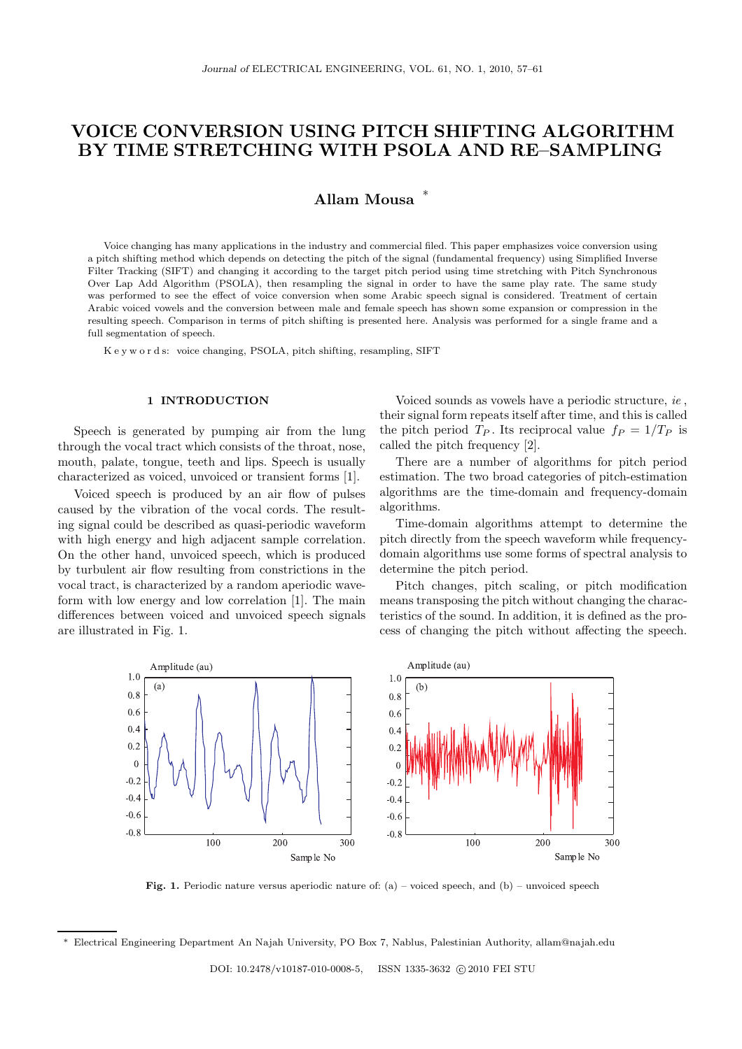# VOICE CONVERSION USING PITCH SHIFTING ALGORITHM BY TIME STRETCHING WITH PSOLA AND RE–SAMPLING

# Allam Mousa <sup>∗</sup>

Voice changing has many applications in the industry and commercial filed. This paper emphasizes voice conversion using a pitch shifting method which depends on detecting the pitch of the signal (fundamental frequency) using Simplified Inverse Filter Tracking (SIFT) and changing it according to the target pitch period using time stretching with Pitch Synchronous Over Lap Add Algorithm (PSOLA), then resampling the signal in order to have the same play rate. The same study was performed to see the effect of voice conversion when some Arabic speech signal is considered. Treatment of certain Arabic voiced vowels and the conversion between male and female speech has shown some expansion or compression in the resulting speech. Comparison in terms of pitch shifting is presented here. Analysis was performed for a single frame and a full segmentation of speech.

K e y w o r d s: voice changing, PSOLA, pitch shifting, resampling, SIFT

### 1 INTRODUCTION

Speech is generated by pumping air from the lung through the vocal tract which consists of the throat, nose, mouth, palate, tongue, teeth and lips. Speech is usually characterized as voiced, unvoiced or transient forms [1].

Voiced speech is produced by an air flow of pulses caused by the vibration of the vocal cords. The resulting signal could be described as quasi-periodic waveform with high energy and high adjacent sample correlation. On the other hand, unvoiced speech, which is produced by turbulent air flow resulting from constrictions in the vocal tract, is characterized by a random aperiodic waveform with low energy and low correlation [1]. The main differences between voiced and unvoiced speech signals are illustrated in Fig. 1.

Voiced sounds as vowels have a periodic structure, ie , their signal form repeats itself after time, and this is called the pitch period  $T_P$ . Its reciprocal value  $f_P = 1/T_P$  is called the pitch frequency [2].

There are a number of algorithms for pitch period estimation. The two broad categories of pitch-estimation algorithms are the time-domain and frequency-domain algorithms.

Time-domain algorithms attempt to determine the pitch directly from the speech waveform while frequencydomain algorithms use some forms of spectral analysis to determine the pitch period.

Pitch changes, pitch scaling, or pitch modification means transposing the pitch without changing the characteristics of the sound. In addition, it is defined as the process of changing the pitch without affecting the speech.



**Fig. 1.** Periodic nature versus aperiodic nature of:  $(a)$  – voiced speech, and  $(b)$  – unvoiced speech

<sup>∗</sup> Electrical Engineering Department An Najah University, PO Box 7, Nablus, Palestinian Authority, allam@najah.edu

DOI: 10.2478/v10187-010-0008-5, ISSN 1335-3632 © 2010 FEI STU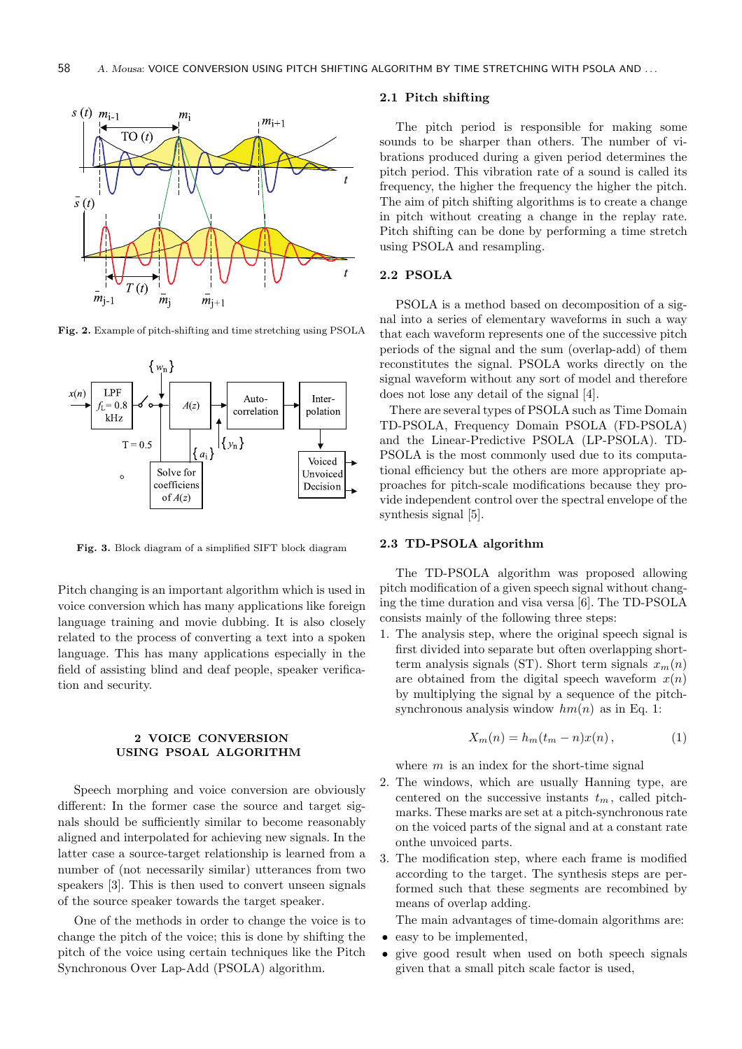

Fig. 2. Example of pitch-shifting and time stretching using PSOLA



Fig. 3. Block diagram of a simplified SIFT block diagram

Pitch changing is an important algorithm which is used in voice conversion which has many applications like foreign language training and movie dubbing. It is also closely related to the process of converting a text into a spoken language. This has many applications especially in the field of assisting blind and deaf people, speaker verification and security.

### 2 VOICE CONVERSION USING PSOAL ALGORITHM

Speech morphing and voice conversion are obviously different: In the former case the source and target signals should be sufficiently similar to become reasonably aligned and interpolated for achieving new signals. In the latter case a source-target relationship is learned from a number of (not necessarily similar) utterances from two speakers [3]. This is then used to convert unseen signals of the source speaker towards the target speaker.

One of the methods in order to change the voice is to change the pitch of the voice; this is done by shifting the pitch of the voice using certain techniques like the Pitch Synchronous Over Lap-Add (PSOLA) algorithm.

### 2.1 Pitch shifting

The pitch period is responsible for making some sounds to be sharper than others. The number of vibrations produced during a given period determines the pitch period. This vibration rate of a sound is called its frequency, the higher the frequency the higher the pitch. The aim of pitch shifting algorithms is to create a change in pitch without creating a change in the replay rate. Pitch shifting can be done by performing a time stretch using PSOLA and resampling.

### 2.2 PSOLA

PSOLA is a method based on decomposition of a signal into a series of elementary waveforms in such a way that each waveform represents one of the successive pitch periods of the signal and the sum (overlap-add) of them reconstitutes the signal. PSOLA works directly on the signal waveform without any sort of model and therefore does not lose any detail of the signal [4].

There are several types of PSOLA such as Time Domain TD-PSOLA, Frequency Domain PSOLA (FD-PSOLA) and the Linear-Predictive PSOLA (LP-PSOLA). TD-PSOLA is the most commonly used due to its computational efficiency but the others are more appropriate approaches for pitch-scale modifications because they provide independent control over the spectral envelope of the synthesis signal [5].

### 2.3 TD-PSOLA algorithm

The TD-PSOLA algorithm was proposed allowing pitch modification of a given speech signal without changing the time duration and visa versa [6]. The TD-PSOLA consists mainly of the following three steps:

1. The analysis step, where the original speech signal is first divided into separate but often overlapping shortterm analysis signals (ST). Short term signals  $x_m(n)$ are obtained from the digital speech waveform  $x(n)$ by multiplying the signal by a sequence of the pitchsynchronous analysis window  $hm(n)$  as in Eq. 1:

$$
X_m(n) = h_m(t_m - n)x(n), \qquad (1)
$$

where  $m$  is an index for the short-time signal

- 2. The windows, which are usually Hanning type, are centered on the successive instants  $t_m$ , called pitchmarks. These marks are set at a pitch-synchronous rate on the voiced parts of the signal and at a constant rate onthe unvoiced parts.
- 3. The modification step, where each frame is modified according to the target. The synthesis steps are performed such that these segments are recombined by means of overlap adding.

The main advantages of time-domain algorithms are:

- easy to be implemented.
- give good result when used on both speech signals given that a small pitch scale factor is used,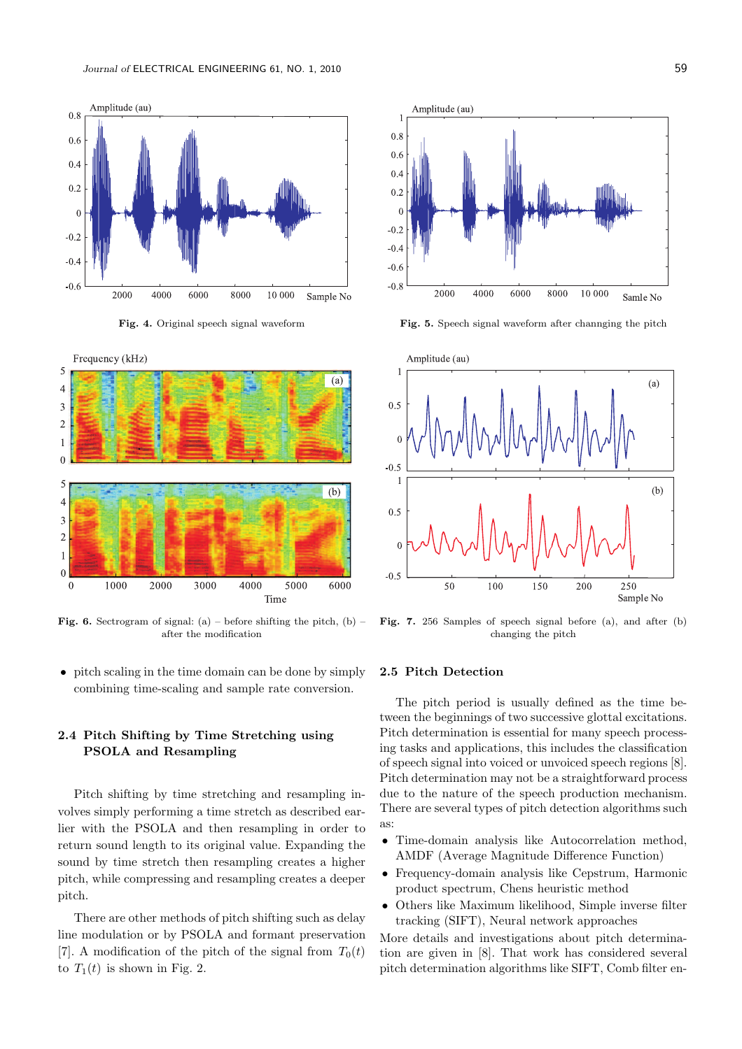



Fig. 6. Sectrogram of signal: (a) – before shifting the pitch, (b) – after the modification

• pitch scaling in the time domain can be done by simply combining time-scaling and sample rate conversion.

# 2.4 Pitch Shifting by Time Stretching using PSOLA and Resampling

Pitch shifting by time stretching and resampling involves simply performing a time stretch as described earlier with the PSOLA and then resampling in order to return sound length to its original value. Expanding the sound by time stretch then resampling creates a higher pitch, while compressing and resampling creates a deeper pitch.

There are other methods of pitch shifting such as delay line modulation or by PSOLA and formant preservation [7]. A modification of the pitch of the signal from  $T_0(t)$ to  $T_1(t)$  is shown in Fig. 2.



Fig. 4. Original speech signal waveform Fig. 5. Speech signal waveform after channging the pitch



Fig. 7. 256 Samples of speech signal before (a), and after (b) changing the pitch

### 2.5 Pitch Detection

The pitch period is usually defined as the time between the beginnings of two successive glottal excitations. Pitch determination is essential for many speech processing tasks and applications, this includes the classification of speech signal into voiced or unvoiced speech regions [8]. Pitch determination may not be a straightforward process due to the nature of the speech production mechanism. There are several types of pitch detection algorithms such as:

- Time-domain analysis like Autocorrelation method, AMDF (Average Magnitude Difference Function)
- Frequency-domain analysis like Cepstrum, Harmonic product spectrum, Chens heuristic method
- Others like Maximum likelihood, Simple inverse filter tracking (SIFT), Neural network approaches

More details and investigations about pitch determination are given in [8]. That work has considered several pitch determination algorithms like SIFT, Comb filter en-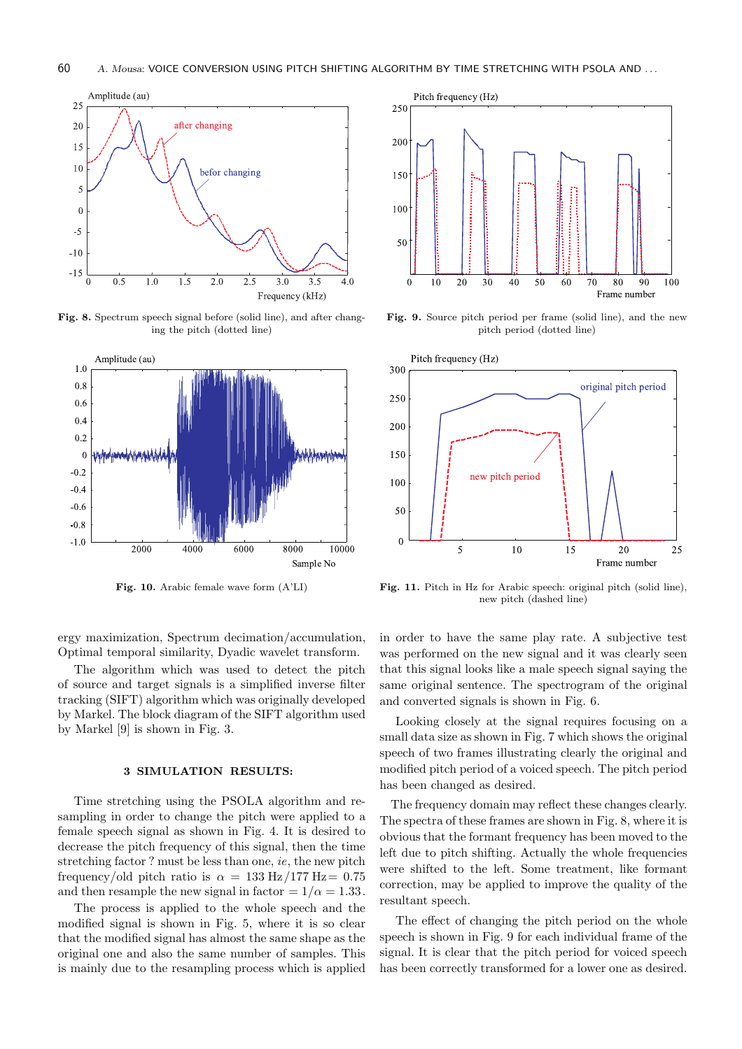

Fig. 8. Spectrum speech signal before (solid line), and after changing the pitch (dotted line)





Fig. 9. Source pitch period per frame (solid line), and the new pitch period (dotted line)



Fig. 10. Arabic female wave form  $(A'LI)$  Fig. 11. Pitch in Hz for Arabic speech: original pitch (solid line), new pitch (dashed line)

ergy maximization, Spectrum decimation/accumulation, Optimal temporal similarity, Dyadic wavelet transform.

The algorithm which was used to detect the pitch of source and target signals is a simplified inverse filter tracking (SIFT) algorithm which was originally developed by Markel. The block diagram of the SIFT algorithm used by Markel [9] is shown in Fig. 3.

### 3 SIMULATION RESULTS:

Time stretching using the PSOLA algorithm and resampling in order to change the pitch were applied to a female speech signal as shown in Fig. 4. It is desired to decrease the pitch frequency of this signal, then the time stretching factor ? must be less than one, ie, the new pitch frequency/old pitch ratio is  $\alpha = 133 \text{ Hz}/177 \text{ Hz} = 0.75$ and then resample the new signal in factor =  $1/\alpha$  = 1.33.

The process is applied to the whole speech and the modified signal is shown in Fig. 5, where it is so clear that the modified signal has almost the same shape as the original one and also the same number of samples. This is mainly due to the resampling process which is applied in order to have the same play rate. A subjective test was performed on the new signal and it was clearly seen that this signal looks like a male speech signal saying the same original sentence. The spectrogram of the original and converted signals is shown in Fig. 6.

Looking closely at the signal requires focusing on a small data size as shown in Fig. 7 which shows the original speech of two frames illustrating clearly the original and modified pitch period of a voiced speech. The pitch period has been changed as desired.

The frequency domain may reflect these changes clearly. The spectra of these frames are shown in Fig. 8, where it is obvious that the formant frequency has been moved to the left due to pitch shifting. Actually the whole frequencies were shifted to the left. Some treatment, like formant correction, may be applied to improve the quality of the resultant speech.

The effect of changing the pitch period on the whole speech is shown in Fig. 9 for each individual frame of the signal. It is clear that the pitch period for voiced speech has been correctly transformed for a lower one as desired.